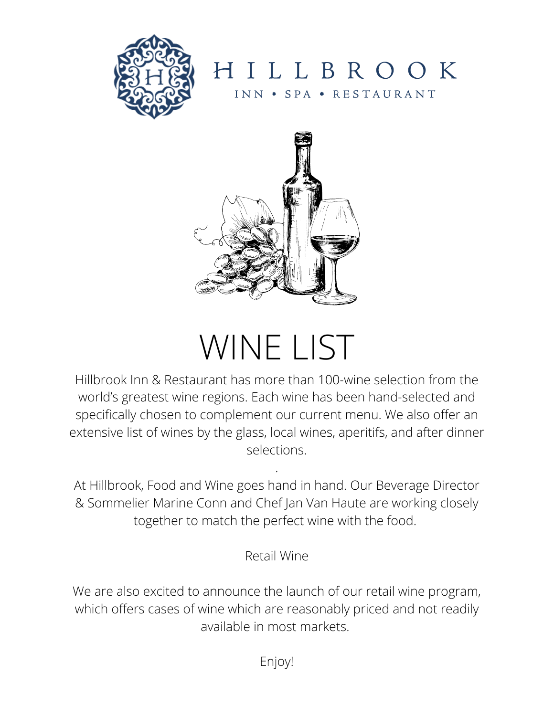

HILLBROOK INN • SPA • RESTAURANT



# WINE LIST

Hillbrook Inn & Restaurant has more than 100-wine selection from the world's greatest wine regions. Each wine has been hand-selected and specifically chosen to complement our current menu. We also offer an extensive list of wines by the glass, local wines, aperitifs, and after dinner selections.

At Hillbrook, Food and Wine goes hand in hand. Our Beverage Director & Sommelier Marine Conn and Chef Jan Van Haute are working closely together to match the perfect wine with the food.

.

Retail Wine

We are also excited to announce the launch of our retail wine program, which offers cases of wine which are reasonably priced and not readily available in most markets.

Enjoy!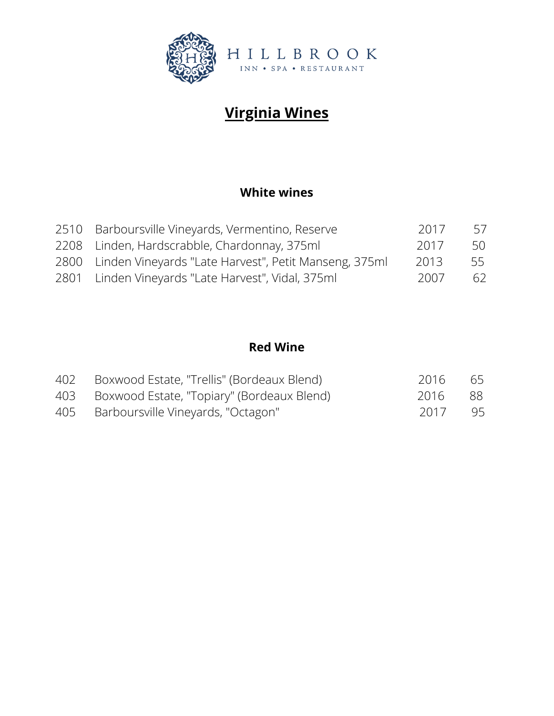

# **Virginia Wines**

#### **White wines**

| 2510 Barboursville Vineyards, Vermentino, Reserve          | 2017 | 57 |
|------------------------------------------------------------|------|----|
| 2208 Linden, Hardscrabble, Chardonnay, 375ml               | 2017 | 50 |
| 2800 Linden Vineyards "Late Harvest", Petit Manseng, 375ml | 2013 | 55 |
| 2801 Linden Vineyards "Late Harvest", Vidal, 375ml         | 2007 | 62 |

#### **Red Wine**

| 402 Boxwood Estate, "Trellis" (Bordeaux Blend) | 2016    | - 65 |
|------------------------------------------------|---------|------|
| 403 Boxwood Estate, "Topiary" (Bordeaux Blend) | 2016    | - 88 |
| 405 Barboursville Vineyards, "Octagon"         | 2017 95 |      |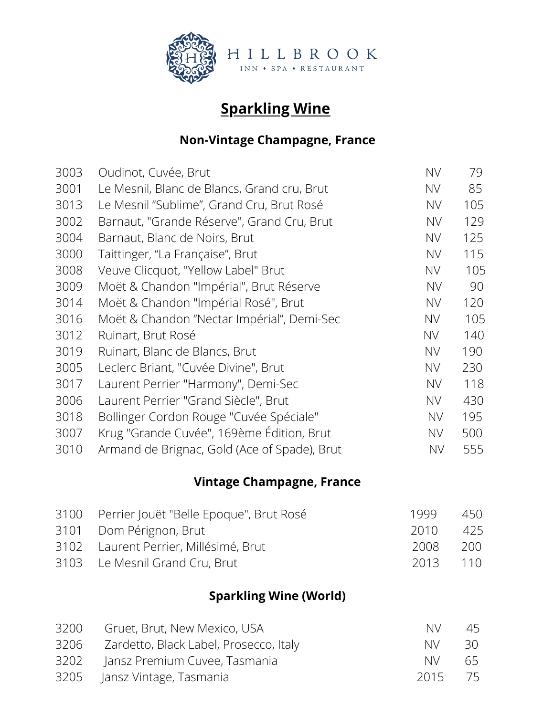

# **Sparkling Wine**

#### **Non-Vintage Champagne, France**

| <b>NV</b> | 79  |
|-----------|-----|
| <b>NV</b> | 85  |
| <b>NV</b> | 105 |
| <b>NV</b> | 129 |
| <b>NV</b> | 125 |
| <b>NV</b> | 115 |
| <b>NV</b> | 105 |
| <b>NV</b> | 90  |
| <b>NV</b> | 120 |
| <b>NV</b> | 105 |
| <b>NV</b> | 140 |
| <b>NV</b> | 190 |
| <b>NV</b> | 230 |
| <b>NV</b> | 118 |
| <b>NV</b> | 430 |
| <b>NV</b> | 195 |
| <b>NV</b> | 500 |
| <b>NV</b> | 555 |
|           |     |

## **Vintage Champagne, France**

| 3100 Perrier Jouët "Belle Epoque", Brut Rosé | 1999     | 450 |
|----------------------------------------------|----------|-----|
| 3101 Dom Pérignon, Brut                      | 2010     | 425 |
| 3102 Laurent Perrier, Millésimé, Brut        | 2008     | 200 |
| 3103 Le Mesnil Grand Cru, Brut               | 2013 110 |     |

## **Sparkling Wine (World)**

| 3200 | Gruet, Brut, New Mexico, USA           | NV.     | 45   |
|------|----------------------------------------|---------|------|
| 3206 | Zardetto, Black Label, Prosecco, Italy | NV.     | -30- |
|      | 3202 Jansz Premium Cuvee, Tasmania     | NM.     | 65   |
|      | 3205 Jansz Vintage, Tasmania           | 2015 75 |      |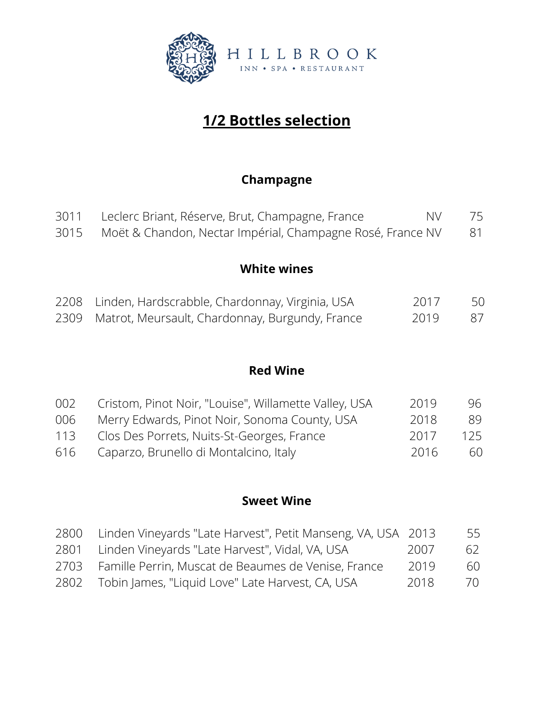

# **1/2 Bottles selection**

### **Champagne**

| 3011 Leclerc Briant, Réserve, Brut, Champagne, France | NV 75 |  |
|-------------------------------------------------------|-------|--|
|                                                       |       |  |

Moët & Chandon, Nectar Impérial, Champagne Rosé, France NV 81

#### **White wines**

| 2208 Linden, Hardscrabble, Chardonnay, Virginia, USA | 2017 | 50  |
|------------------------------------------------------|------|-----|
| 2309 Matrot, Meursault, Chardonnay, Burgundy, France | 2019 | -87 |

#### **Red Wine**

| 002 | Cristom, Pinot Noir, "Louise", Willamette Valley, USA | 2019 | 96  |
|-----|-------------------------------------------------------|------|-----|
| 006 | Merry Edwards, Pinot Noir, Sonoma County, USA         | 2018 | 89  |
| 113 | Clos Des Porrets, Nuits-St-Georges, France            | 2017 | 125 |
| 616 | Caparzo, Brunello di Montalcino, Italy                | 2016 | 60  |

#### **Sweet Wine**

| 2800 | Linden Vineyards "Late Harvest", Petit Manseng, VA, USA 2013 |      | 55 |
|------|--------------------------------------------------------------|------|----|
| 2801 | Linden Vineyards "Late Harvest", Vidal, VA, USA              | 2007 | 62 |
| 2703 | Famille Perrin, Muscat de Beaumes de Venise, France          | 2019 | 60 |
| 2802 | Tobin James, "Liquid Love" Late Harvest, CA, USA             | 2018 | 70 |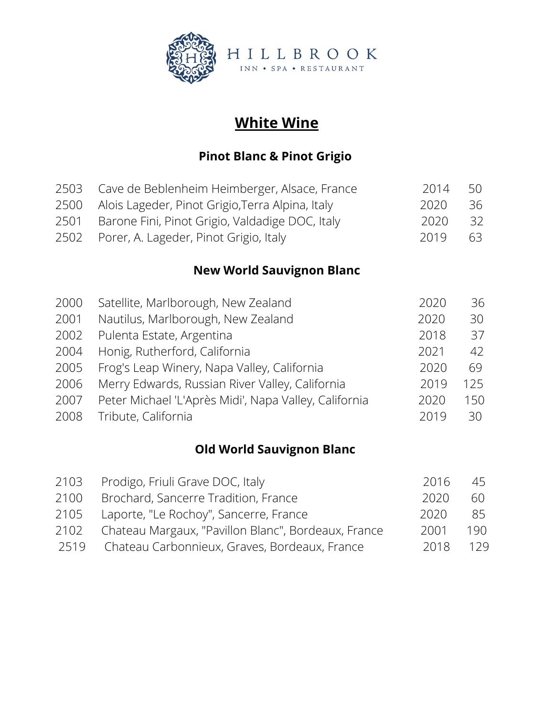

# **White Wine**

## **Pinot Blanc & Pinot Grigio**

|      | 2503 Cave de Beblenheim Heimberger, Alsace, France    | 2014 | 50   |
|------|-------------------------------------------------------|------|------|
|      | 2500 Alois Lageder, Pinot Grigio, Terra Alpina, Italy | 2020 | 36   |
| 2501 | Barone Fini, Pinot Grigio, Valdadige DOC, Italy       | 2020 | - 32 |
|      | 2502 Porer, A. Lageder, Pinot Grigio, Italy           | 2019 | 63   |

## **New World Sauvignon Blanc**

| 2000 | Satellite, Marlborough, New Zealand                   | 2020 | 36  |
|------|-------------------------------------------------------|------|-----|
| 2001 | Nautilus, Marlborough, New Zealand                    | 2020 | 30  |
| 2002 | Pulenta Estate, Argentina                             | 2018 | 37  |
| 2004 | Honig, Rutherford, California                         | 2021 | 42  |
| 2005 | Frog's Leap Winery, Napa Valley, California           | 2020 | 69  |
| 2006 | Merry Edwards, Russian River Valley, California       | 2019 | 125 |
| 2007 | Peter Michael 'L'Après Midi', Napa Valley, California | 2020 | 150 |
| 2008 | Tribute, California                                   | 2019 | 30  |
|      |                                                       |      |     |

## **Old World Sauvignon Blanc**

| 2103 | Prodigo, Friuli Grave DOC, Italy                    | 2016 | 45  |
|------|-----------------------------------------------------|------|-----|
| 2100 | Brochard, Sancerre Tradition, France                | 2020 | 60  |
| 2105 | Laporte, "Le Rochoy", Sancerre, France              | 2020 | 85. |
| 2102 | Chateau Margaux, "Pavillon Blanc", Bordeaux, France | 2001 | 190 |
|      | 2519 Chateau Carbonnieux, Graves, Bordeaux, France  | 2018 | 129 |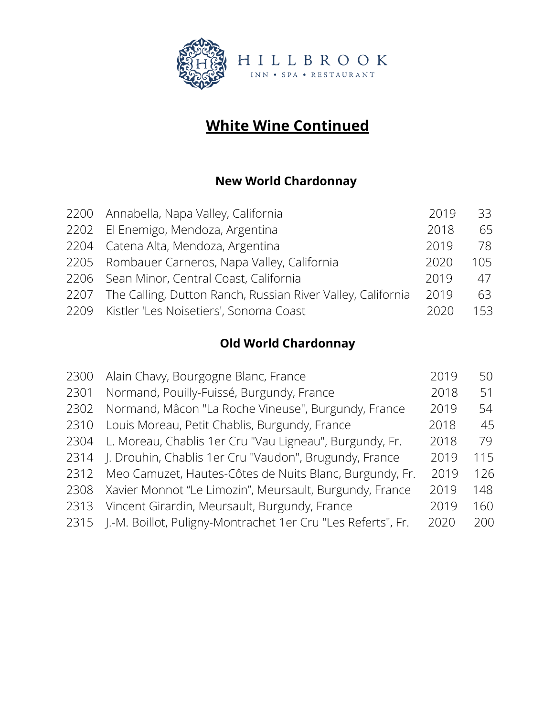

# **White Wine Continued**

## **New World Chardonnay**

| 2200 Annabella, Napa Valley, California                          | 2019 | 33  |
|------------------------------------------------------------------|------|-----|
| 2202 El Enemigo, Mendoza, Argentina                              | 2018 | 65  |
| 2204 Catena Alta, Mendoza, Argentina                             | 2019 | 78  |
| 2205 Rombauer Carneros, Napa Valley, California                  | 2020 | 105 |
| 2206 Sean Minor, Central Coast, California                       | 2019 | 47  |
| 2207 The Calling, Dutton Ranch, Russian River Valley, California | 2019 | 63  |
| 2209 Kistler 'Les Noisetiers', Sonoma Coast                      | 2020 | 153 |
|                                                                  |      |     |

## **Old World Chardonnay**

| 2300 | Alain Chavy, Bourgogne Blanc, France                         | 2019 | 50  |
|------|--------------------------------------------------------------|------|-----|
| 2301 | Normand, Pouilly-Fuissé, Burgundy, France                    | 2018 | 51  |
| 2302 | Normand, Mâcon "La Roche Vineuse", Burgundy, France          | 2019 | 54  |
| 2310 | Louis Moreau, Petit Chablis, Burgundy, France                | 2018 | 45  |
| 2304 | L. Moreau, Chablis 1er Cru "Vau Ligneau", Burgundy, Fr.      | 2018 | 79  |
| 2314 | J. Drouhin, Chablis 1er Cru "Vaudon", Brugundy, France       | 2019 | 115 |
| 2312 | Meo Camuzet, Hautes-Côtes de Nuits Blanc, Burgundy, Fr.      | 2019 | 126 |
| 2308 | Xavier Monnot "Le Limozin", Meursault, Burgundy, France      | 2019 | 148 |
| 2313 | Vincent Girardin, Meursault, Burgundy, France                | 2019 | 160 |
| 2315 | J.-M. Boillot, Puligny-Montrachet 1er Cru "Les Referts", Fr. | 2020 | 200 |
|      |                                                              |      |     |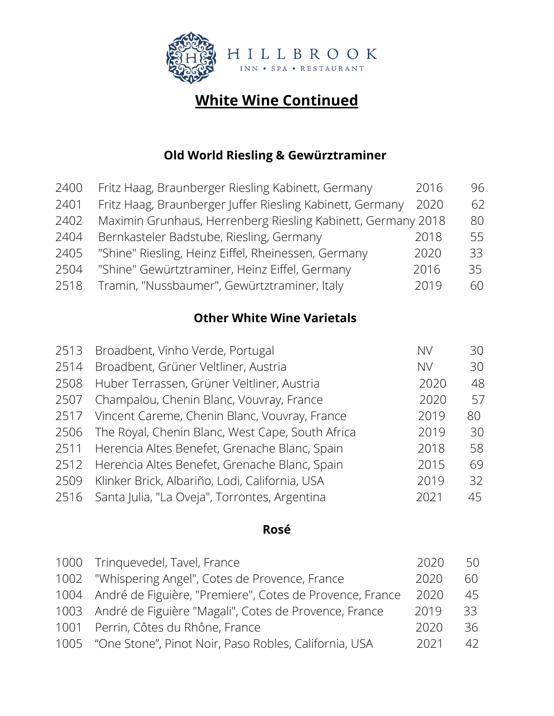

# **White Wine Continued**

#### **Old World Riesling & Gewürztraminer**

| 2400 | Fritz Haag, Braunberger Riesling Kabinett, Germany           | 2016 | 96 |
|------|--------------------------------------------------------------|------|----|
| 2401 | Fritz Haag, Braunberger Juffer Riesling Kabinett, Germany    | 2020 | 62 |
| 2402 | Maximin Grunhaus, Herrenberg Riesling Kabinett, Germany 2018 |      | 80 |
| 2404 | Bernkasteler Badstube, Riesling, Germany                     | 2018 | 55 |
| 2405 | "Shine" Riesling, Heinz Eiffel, Rheinessen, Germany          | 2020 | 33 |
| 2504 | "Shine" Gewürtztraminer, Heinz Eiffel, Germany               | 2016 | 35 |
| 2518 | Tramin, "Nussbaumer", Gewürtztraminer, Italy                 | 2019 | 60 |

## **Other White Wine Varietals**

| 2513 | Broadbent, Vinho Verde, Portugal                 | <b>NV</b> | 30 |
|------|--------------------------------------------------|-----------|----|
| 2514 | Broadbent, Grüner Veltliner, Austria             | <b>NV</b> | 30 |
| 2508 | Huber Terrassen, Grüner Veltliner, Austria       | 2020      | 48 |
| 2507 | Champalou, Chenin Blanc, Vouvray, France         | 2020      | 57 |
| 2517 | Vincent Careme, Chenin Blanc, Vouvray, France    | 2019      | 80 |
| 2506 | The Royal, Chenin Blanc, West Cape, South Africa | 2019      | 30 |
| 2511 | Herencia Altes Benefet, Grenache Blanc, Spain    | 2018      | 58 |
| 2512 | Herencia Altes Benefet, Grenache Blanc, Spain    | 2015      | 69 |
| 2509 | Klinker Brick, Albariño, Lodi, California, USA   | 2019      | 32 |
| 2516 | Santa Julia, "La Oveja", Torrontes, Argentina    | 2021      | 45 |

#### **Rosé**

| 1000 Tringuevedel, Tavel, France                              | 2020 | 50 |
|---------------------------------------------------------------|------|----|
| 1002 "Whispering Angel", Cotes de Provence, France            | 2020 | 60 |
| 1004 André de Figuière, "Premiere", Cotes de Provence, France | 2020 | 45 |
| 1003 André de Figuière "Magali", Cotes de Provence, France    | 2019 | 33 |
| 1001 Perrin, Côtes du Rhône, France                           | 2020 | 36 |
| 1005 "One Stone", Pinot Noir, Paso Robles, California, USA    | 2021 | 42 |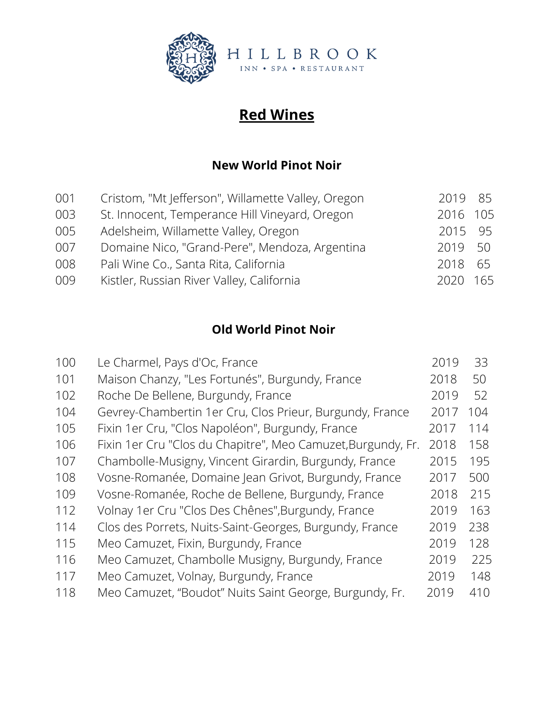

# **Red Wines**

#### **New World Pinot Noir**

| Cristom, "Mt Jefferson", Willamette Valley, Oregon |                                                                  |
|----------------------------------------------------|------------------------------------------------------------------|
| St. Innocent, Temperance Hill Vineyard, Oregon     |                                                                  |
| Adelsheim, Willamette Valley, Oregon               |                                                                  |
| Domaine Nico, "Grand-Pere", Mendoza, Argentina     |                                                                  |
| Pali Wine Co., Santa Rita, California              |                                                                  |
| Kistler, Russian River Valley, California          |                                                                  |
|                                                    | 2019 85<br>2016 105<br>2015 95<br>2019 50<br>2018 65<br>2020 165 |

## **Old World Pinot Noir**

| 100 | Le Charmel, Pays d'Oc, France                                | 2019 | 33  |
|-----|--------------------------------------------------------------|------|-----|
| 101 | Maison Chanzy, "Les Fortunés", Burgundy, France              | 2018 | 50  |
| 102 | Roche De Bellene, Burgundy, France                           | 2019 | 52  |
| 104 | Gevrey-Chambertin 1er Cru, Clos Prieur, Burgundy, France     | 2017 | 104 |
| 105 | Fixin 1er Cru, "Clos Napoléon", Burgundy, France             | 2017 | 114 |
| 106 | Fixin 1er Cru "Clos du Chapitre", Meo Camuzet, Burgundy, Fr. | 2018 | 158 |
| 107 | Chambolle-Musigny, Vincent Girardin, Burgundy, France        | 2015 | 195 |
| 108 | Vosne-Romanée, Domaine Jean Grivot, Burgundy, France         | 2017 | 500 |
| 109 | Vosne-Romanée, Roche de Bellene, Burgundy, France            | 2018 | 215 |
| 112 | Volnay 1 er Cru "Clos Des Chênes", Burgundy, France          | 2019 | 163 |
| 114 | Clos des Porrets, Nuits-Saint-Georges, Burgundy, France      | 2019 | 238 |
| 115 | Meo Camuzet, Fixin, Burgundy, France                         | 2019 | 128 |
| 116 | Meo Camuzet, Chambolle Musigny, Burgundy, France             | 2019 | 225 |
| 117 | Meo Camuzet, Volnay, Burgundy, France                        | 2019 | 148 |
| 118 | Meo Camuzet, "Boudot" Nuits Saint George, Burgundy, Fr.      | 2019 | 410 |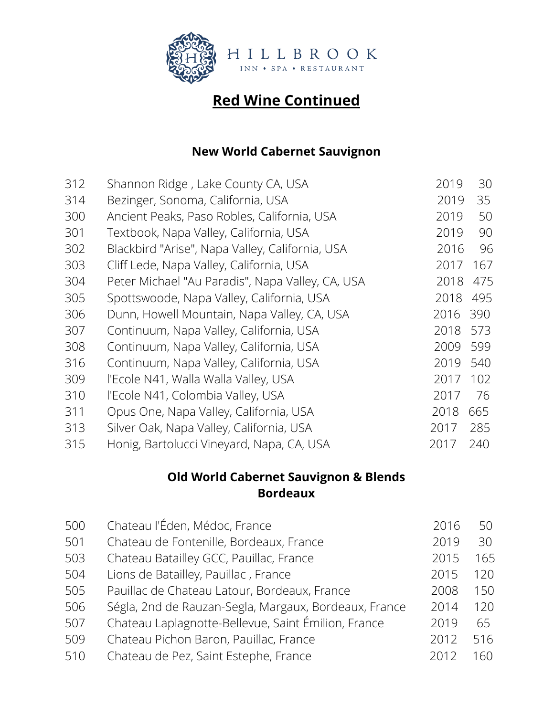

#### **New World Cabernet Sauvignon**

| 312 | Shannon Ridge, Lake County CA, USA               | 2019 | 30  |
|-----|--------------------------------------------------|------|-----|
| 314 | Bezinger, Sonoma, California, USA                | 2019 | 35  |
| 300 | Ancient Peaks, Paso Robles, California, USA      | 2019 | 50  |
| 301 | Textbook, Napa Valley, California, USA           | 2019 | 90  |
| 302 | Blackbird "Arise", Napa Valley, California, USA  | 2016 | 96  |
| 303 | Cliff Lede, Napa Valley, California, USA         | 2017 | 167 |
| 304 | Peter Michael "Au Paradis", Napa Valley, CA, USA | 2018 | 475 |
| 305 | Spottswoode, Napa Valley, California, USA        | 2018 | 495 |
| 306 | Dunn, Howell Mountain, Napa Valley, CA, USA      | 2016 | 390 |
| 307 | Continuum, Napa Valley, California, USA          | 2018 | 573 |
| 308 | Continuum, Napa Valley, California, USA          | 2009 | 599 |
| 316 | Continuum, Napa Valley, California, USA          | 2019 | 540 |
| 309 | l'Ecole N41, Walla Walla Valley, USA             | 2017 | 102 |
| 310 | l'Ecole N41, Colombia Valley, USA                | 2017 | 76  |
| 311 | Opus One, Napa Valley, California, USA           | 2018 | 665 |
| 313 | Silver Oak, Napa Valley, California, USA         | 2017 | 285 |
| 315 | Honig, Bartolucci Vineyard, Napa, CA, USA        | 2017 | 240 |

## **Old World Cabernet Sauvignon & Blends Bordeaux**

| 500 | Chateau l'Éden, Médoc, France                         | 2016 | 50  |
|-----|-------------------------------------------------------|------|-----|
| 501 | Chateau de Fontenille, Bordeaux, France               | 2019 | 30  |
| 503 | Chateau Batailley GCC, Pauillac, France               | 2015 | 165 |
| 504 | Lions de Batailley, Pauillac, France                  | 2015 | 120 |
| 505 | Pauillac de Chateau Latour, Bordeaux, France          | 2008 | 150 |
| 506 | Ségla, 2nd de Rauzan-Segla, Margaux, Bordeaux, France | 2014 | 120 |
| 507 | Chateau Laplagnotte-Bellevue, Saint Émilion, France   | 2019 | 65  |
| 509 | Chateau Pichon Baron, Pauillac, France                | 2012 | 516 |
| 510 | Chateau de Pez, Saint Estephe, France                 | 2012 | 160 |
|     |                                                       |      |     |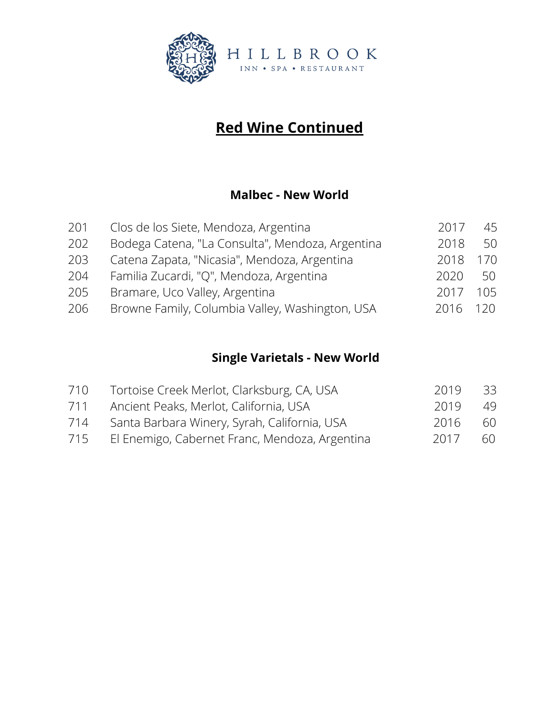

#### **Malbec - New World**

| 201 | Clos de los Siete, Mendoza, Argentina            | 2017 | 45  |
|-----|--------------------------------------------------|------|-----|
| 202 | Bodega Catena, "La Consulta", Mendoza, Argentina | 2018 | 50  |
| 203 | Catena Zapata, "Nicasia", Mendoza, Argentina     | 2018 | 170 |
| 204 | Familia Zucardi, "Q", Mendoza, Argentina         | 2020 | 50  |
| 205 | Bramare, Uco Valley, Argentina                   | 2017 | 105 |
| 206 | Browne Family, Columbia Valley, Washington, USA  | 2016 | 120 |

## **Single Varietals - New World**

| 710 | Tortoise Creek Merlot, Clarksburg, CA, USA     | 2019 | - 33 |
|-----|------------------------------------------------|------|------|
| 711 | Ancient Peaks, Merlot, California, USA         | 2019 | 49   |
| 714 | Santa Barbara Winery, Syrah, California, USA   | 2016 | 60   |
| 715 | El Enemigo, Cabernet Franc, Mendoza, Argentina | 2017 | 60   |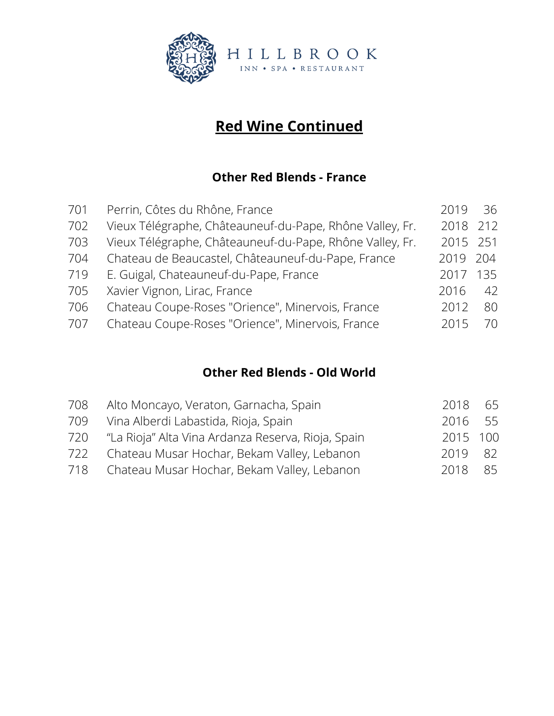

#### **Other Red Blends - France**

| 701 | Perrin, Côtes du Rhône, France                           | 2019     | -36 |
|-----|----------------------------------------------------------|----------|-----|
| 702 | Vieux Télégraphe, Châteauneuf-du-Pape, Rhône Valley, Fr. | 2018 212 |     |
| 703 | Vieux Télégraphe, Châteauneuf-du-Pape, Rhône Valley, Fr. | 2015 251 |     |
| 704 | Chateau de Beaucastel, Châteauneuf-du-Pape, France       | 2019     | 204 |
| 719 | E. Guigal, Chateauneuf-du-Pape, France                   | 2017     | 135 |
| 705 | Xavier Vignon, Lirac, France                             | 2016     | 42  |
| 706 | Chateau Coupe-Roses "Orience", Minervois, France         | 2012     | 80  |
| 707 | Chateau Coupe-Roses "Orience", Minervois, France         | 2015     | 70. |

#### **Other Red Blends - Old World**

| 708 | Alto Moncayo, Veraton, Garnacha, Spain             | 2018     | 65 |
|-----|----------------------------------------------------|----------|----|
| 709 | Vina Alberdi Labastida, Rioja, Spain               | 2016 55  |    |
| 720 | "La Rioja" Alta Vina Ardanza Reserva, Rioja, Spain | 2015 100 |    |
| 722 | Chateau Musar Hochar, Bekam Valley, Lebanon        | 2019 82  |    |
|     | 718 Chateau Musar Hochar, Bekam Valley, Lebanon    | 2018     | 85 |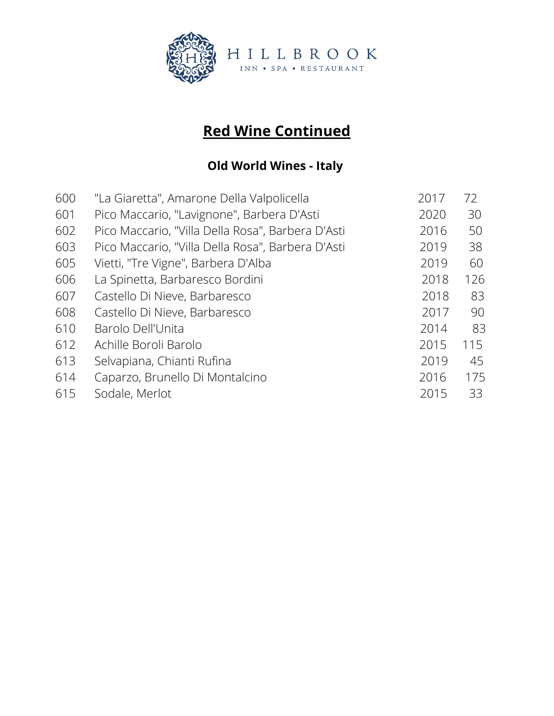

## **Old World Wines - Italy**

| 600 | "La Giaretta", Amarone Della Valpolicella         | 2017 | 72  |
|-----|---------------------------------------------------|------|-----|
| 601 | Pico Maccario, "Lavignone", Barbera D'Asti        | 2020 | 30  |
| 602 | Pico Maccario, "Villa Della Rosa", Barbera D'Asti | 2016 | 50  |
| 603 | Pico Maccario, "Villa Della Rosa", Barbera D'Asti | 2019 | 38  |
| 605 | Vietti, "Tre Vigne", Barbera D'Alba               | 2019 | 60  |
| 606 | La Spinetta, Barbaresco Bordini                   | 2018 | 126 |
| 607 | Castello Di Nieve, Barbaresco                     | 2018 | 83  |
| 608 | Castello Di Nieve, Barbaresco                     | 2017 | 90  |
| 610 | Barolo Dell'Unita                                 | 2014 | 83  |
| 612 | Achille Boroli Barolo                             | 2015 | 115 |
| 613 | Selvapiana, Chianti Rufina                        | 2019 | 45  |
| 614 | Caparzo, Brunello Di Montalcino                   | 2016 | 175 |
| 615 | Sodale, Merlot                                    | 2015 | 33  |